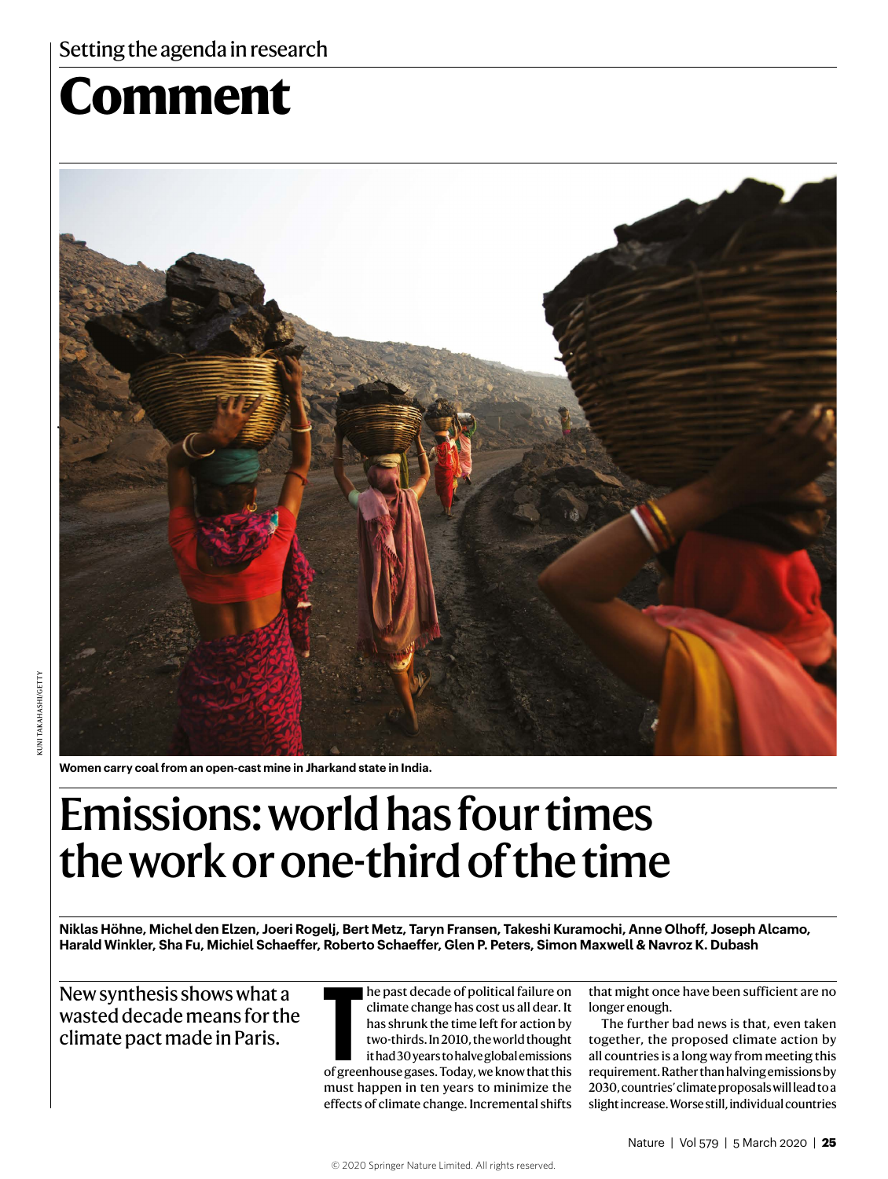# **Comment**



**Women carry coal from an open-cast mine in Jharkand state in India.** 

## Emissions: world has four times the work or one-third of the time

**Niklas Höhne, Michel den Elzen, Joeri Rogelj, Bert Metz, Taryn Fransen, Takeshi Kuramochi, Anne Olhoff, Joseph Alcamo, Harald Winkler, Sha Fu, Michiel Schaeffer, Roberto Schaeffer, Glen P. Peters, Simon Maxwell & Navroz K. Dubash**

New synthesis shows what a wasted decade means for the climate pact made in Paris. **T**

he past decade of political failure on climate change has cost us all dear. It has shrunk the time left for action by two-thirds. In 2010, the world thought it had 30 years to halve global emissions of greenhouse gases. Today, we know that this must happen in ten years to minimize the effects of climate change. Incremental shifts

that might once have been sufficient are no longer enough.

The further bad news is that, even taken together, the proposed climate action by all countries is a long way from meeting this requirement. Rather than halving emissions by 2030, countries' climate proposals will lead to a slight increase. Worse still, individual countries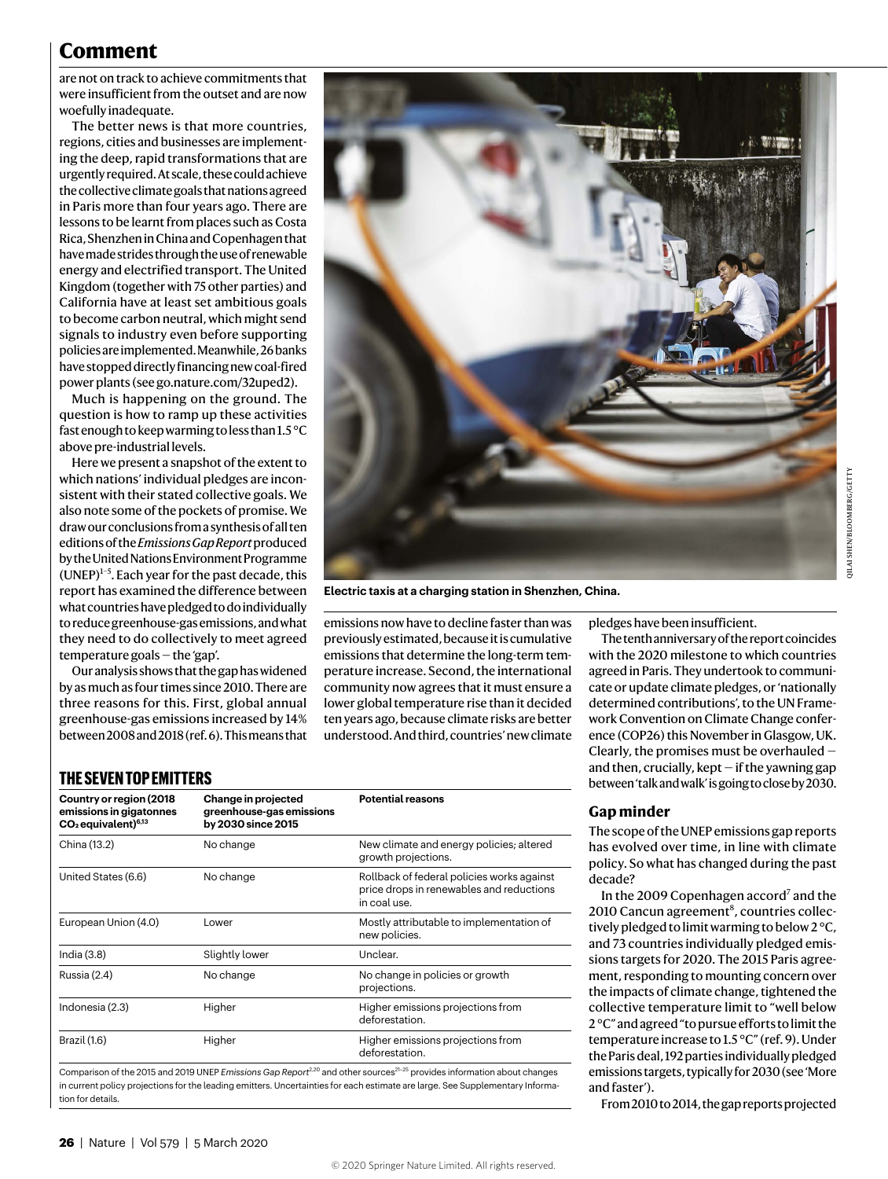## **Comment**

are not on track to achieve commitments that were insufficient from the outset and are now woefully inadequate.

The better news is that more countries, regions, cities and businesses are implementing the deep, rapid transformations that are urgently required. At scale, these could achieve the collective climate goals that nations agreed in Paris more than four years ago. There are lessons to be learnt from places such as Costa Rica, Shenzhen in China and Copenhagen that have made strides through the use of renewable energy and electrified transport. The United Kingdom (together with 75 other parties) and California have at least set ambitious goals to become carbon neutral, which might send signals to industry even before supporting policies are implemented. Meanwhile, 26 banks have stopped directly financing new coal-fired power plants (see go.nature.com/32uped2).

Much is happening on the ground. The question is how to ramp up these activities fast enough to keep warming to less than 1.5 °C above pre-industrial levels.

Here we present a snapshot of the extent to which nations' individual pledges are inconsistent with their stated collective goals. We also note some of the pockets of promise. We draw our conclusions from a synthesis of all ten editions of the *Emissions Gap Report* produced by the United Nations Environment Programme  $(UNEP)^{1-5}$ . Each year for the past decade, this report has examined the difference between what countries have pledged to do individually to reduce greenhouse-gas emissions, and what they need to do collectively to meet agreed temperature goals — the 'gap'.

Our analysis shows that the gap has widened by as much as four times since 2010. There are three reasons for this. First, global annual greenhouse-gas emissions increased by 14% between 2008 and 2018 (ref. 6). This means that



**Electric taxis at a charging station in Shenzhen, China.**

emissions now have to decline faster than was previously estimated, because it is cumulative emissions that determine the long-term temperature increase. Second, the international community now agrees that it must ensure a lower global temperature rise than it decided ten years ago, because climate risks are better understood. And third, countries' new climate pledges have been insufficient.

The tenth anniversary of the report coincides with the 2020 milestone to which countries agreed in Paris. They undertook to communicate or update climate pledges, or 'nationally determined contributions', to the UN Framework Convention on Climate Change conference (COP26) this November in Glasgow, UK. Clearly, the promises must be overhauled and then, crucially, kept  $-$  if the yawning gap between 'talk and walk' is going to close by 2030.

## **THE SEVEN TOP EMITTERS**

| Change in projected<br>greenhouse-gas emissions<br>by 2030 since 2015 | <b>Potential reasons</b>                                                                               |
|-----------------------------------------------------------------------|--------------------------------------------------------------------------------------------------------|
| No change                                                             | New climate and energy policies; altered<br>growth projections.                                        |
| No change                                                             | Rollback of federal policies works against<br>price drops in renewables and reductions<br>in coal use. |
| Lower                                                                 | Mostly attributable to implementation of<br>new policies.                                              |
| Slightly lower                                                        | Unclear.                                                                                               |
| No change                                                             | No change in policies or growth<br>projections.                                                        |
| Higher                                                                | Higher emissions projections from<br>deforestation.                                                    |
| Higher                                                                | Higher emissions projections from<br>deforestation.                                                    |
|                                                                       |                                                                                                        |

Comparison of the 2015 and 2019 UNEP *Emissions Gap Report<sup>2,20</sup>* and other sources<sup>21–25</sup> provides information about changes in current policy projections for the leading emitters. Uncertainties for each estimate are large. See Supplementary Information for details.

#### **Gap minder**

The scope of the UNEP emissions gap reports has evolved over time, in line with climate policy. So what has changed during the past decade?

In the 2009 Copenhagen accord<sup>7</sup> and the 2010 Cancun agreement<sup>8</sup>, countries collectively pledged to limit warming to below 2 °C, and 73 countries individually pledged emissions targets for 2020. The 2015 Paris agreement, responding to mounting concern over the impacts of climate change, tightened the collective temperature limit to "well below 2 °C" and agreed "to pursue efforts to limit the temperature increase to 1.5 °C" (ref. 9). Under the Paris deal, 192 parties individually pledged emissions targets, typically for 2030 (see 'More and faster').

From 2010 to 2014, the gap reports projected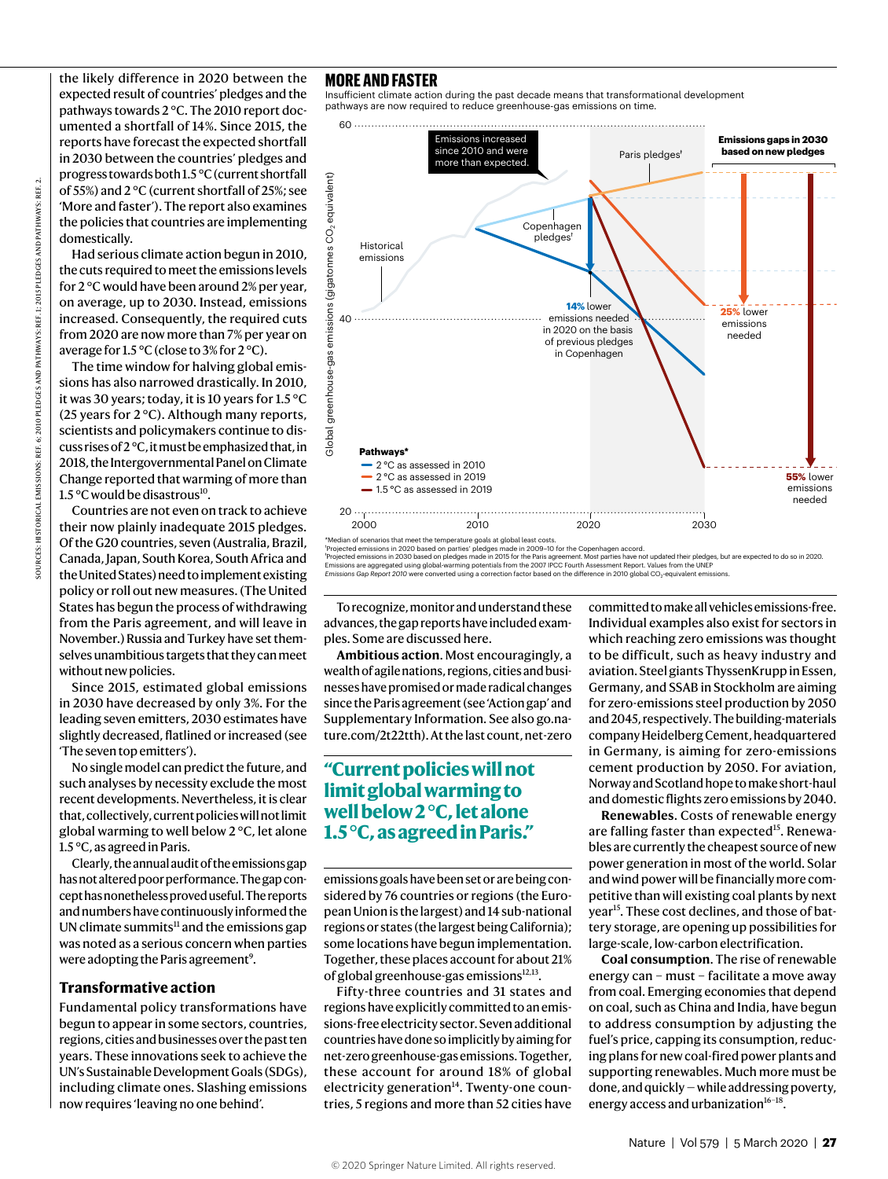the likely difference in 2020 between the expected result of countries' pledges and the pathways towards 2 °C. The 2010 report documented a shortfall of 14%. Since 2015, the reports have forecast the expected shortfall in 2030 between the countries' pledges and progress towards both 1.5 °C (current shortfall of 55%) and 2 °C (current shortfall of 25%; see 'More and faster'). The report also examines the policies that countries are implementing domestically.

Had serious climate action begun in 2010, the cuts required to meet the emissions levels for 2 °C would have been around 2% per year, on average, up to 2030. Instead, emissions increased. Consequently, the required cuts from 2020 are now more than 7% per year on average for 1.5 °C (close to 3% for 2 °C).

The time window for halving global emissions has also narrowed drastically. In 2010, it was 30 years; today, it is 10 years for 1.5 °C (25 years for 2 °C). Although many reports, scientists and policymakers continue to discuss rises of 2 °C, it must be emphasized that, in 2018, the Intergovernmental Panel on Climate Change reported that warming of more than 1.5 $\rm{^{\circ}C}$  would be disastrous<sup>10</sup>.

Countries are not even on track to achieve their now plainly inadequate 2015 pledges. Of the G20 countries, seven (Australia, Brazil, Canada, Japan, South Korea, South Africa and the United States) need to implement existing policy or roll out new measures. (The United States has begun the process of withdrawing from the Paris agreement, and will leave in November.) Russia and Turkey have set themselves unambitious targets that they can meet without new policies.

Since 2015, estimated global emissions in 2030 have decreased by only 3%. For the leading seven emitters, 2030 estimates have slightly decreased, flatlined or increased (see 'The seven top emitters').

No single model can predict the future, and such analyses by necessity exclude the most recent developments. Nevertheless, it is clear that, collectively, current policies will not limit global warming to well below 2 °C, let alone 1.5 °C, as agreed in Paris.

Clearly, the annual audit of the emissions gap has not altered poor performance. The gap concept has nonetheless proved useful. The reports and numbers have continuously informed the UN climate summits $11$  and the emissions gap was noted as a serious concern when parties were adopting the Paris agreement<sup>9</sup>.

#### **Transformative action**

Fundamental policy transformations have begun to appear in some sectors, countries, regions, cities and businesses over the past ten years. These innovations seek to achieve the UN's Sustainable Development Goals (SDGs), including climate ones. Slashing emissions now requires 'leaving no one behind'.

#### **MORE AND FASTER**

Insufficient climate action during the past decade means that transformational development pathways are now required to reduce greenhouse-gas emissions on time.



\*Median of scenarios that meet the temperature goals at global least costs.<br>"Projected emissions in 2020 based on parties' pledges made in 2009–10 for the Copenhagen accord.<br>"Projected emissions in 2030 based on pledges ma

Emissions are aggregated using global-warming potentials from the 2007 IPCC Fourth Assessment Report. Values from the UNEP<br>*Emissions Gap Report 2010 were converte*d using a correction factor based on the difference in 201

To recognize, monitor and understand these advances, the gap reports have included examples. Some are discussed here.

**Ambitious action**. Most encouragingly, a wealth of agile nations, regions, cities and businesses have promised or made radical changes since the Paris agreement (see 'Action gap' and Supplementary Information. See also go.nature.com/2t22tth). At the last count, net-zero

### **"Current policies will not limit global warming to well below 2 °C, let alone 1.5 °C, as agreed in Paris."**

emissions goals have been set or are being considered by 76 countries or regions (the European Union is the largest) and 14 sub-national regions or states (the largest being California); some locations have begun implementation. Together, these places account for about 21% of global greenhouse-gas emissions $12,13$ .

Fifty-three countries and 31 states and regions have explicitly committed to an emissions-free electricity sector. Seven additional countries have done so implicitly by aiming for net-zero greenhouse-gas emissions. Together, these account for around 18% of global electricity generation $14$ . Twenty-one countries, 5 regions and more than 52 cities have committed to make all vehicles emissions-free. Individual examples also exist for sectors in which reaching zero emissions was thought to be difficult, such as heavy industry and aviation. Steel giants ThyssenKrupp in Essen, Germany, and SSAB in Stockholm are aiming for zero-emissions steel production by 2050 and 2045, respectively. The building-materials company Heidelberg Cement, headquartered in Germany, is aiming for zero-emissions cement production by 2050. For aviation, Norway and Scotland hope to make short-haul and domestic flights zero emissions by 2040.

**Renewables**. Costs of renewable energy are falling faster than expected<sup>15</sup>. Renewables are currently the cheapest source of new power generation in most of the world. Solar and wind power will be financially more competitive than will existing coal plants by next year<sup>15</sup>. These cost declines, and those of battery storage, are opening up possibilities for large-scale, low-carbon electrification.

**Coal consumption**. The rise of renewable energy can – must – facilitate a move away from coal. Emerging economies that depend on coal, such as China and India, have begun to address consumption by adjusting the fuel's price, capping its consumption, reducing plans for new coal-fired power plants and supporting renewables. Much more must be done, and quickly — while addressing poverty, energy access and urbanization $16-18$ .

SOURCES: HISTORICAL EMISSIONS: REF. 6; 2010 PLEDGES AND PATHWAYS: REF. 1; 2015 PLEDGES AND PATHWAYS: REF. 2.

ξĒ.

**HISTORICAL EMISSIONS:** 

2010 PLEDGES AND PATHWAYS: REF. 1:2

ξĒ.

**2015 PLEDGES AND PATHWAYS:**